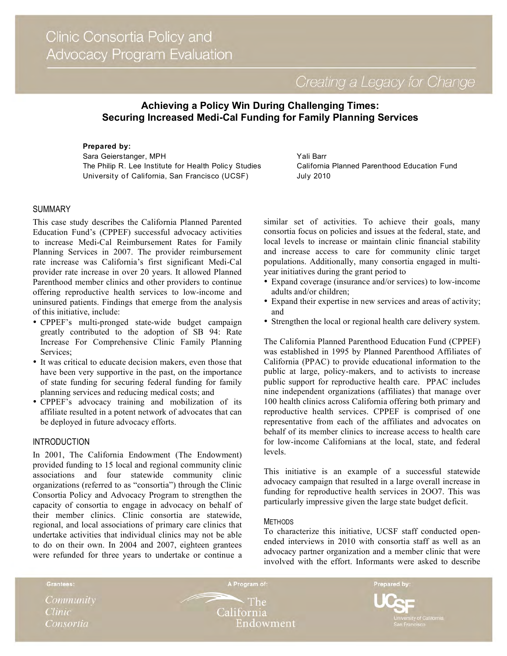Creating a Legacy for Change

# **Achieving a Policy Win During Challenging Times: Securing Increased Medi-Cal Funding for Family Planning Services**

**Prepared by:** Sara Geierstanger, MPH The Philip R. Lee Institute for Health Policy Studies University of California, San Francisco (UCSF)

Yali Barr California Planned Parenthood Education Fund July 2010

#### **SUMMARY**

This case study describes the California Planned Parented Education Fund's (CPPEF) successful advocacy activities to increase Medi-Cal Reimbursement Rates for Family Planning Services in 2007. The provider reimbursement rate increase was California's first significant Medi-Cal provider rate increase in over 20 years. It allowed Planned Parenthood member clinics and other providers to continue offering reproductive health services to low-income and uninsured patients. Findings that emerge from the analysis of this initiative, include:

- CPPEF's multi-pronged state-wide budget campaign greatly contributed to the adoption of SB 94: Rate Increase For Comprehensive Clinic Family Planning Services;
- It was critical to educate decision makers, even those that have been very supportive in the past, on the importance of state funding for securing federal funding for family planning services and reducing medical costs; and
- CPPEF's advocacy training and mobilization of its affiliate resulted in a potent network of advocates that can be deployed in future advocacy efforts.

## INTRODUCTION

In 2001, The California Endowment (The Endowment) provided funding to 15 local and regional community clinic associations and four statewide community clinic organizations (referred to as "consortia") through the Clinic Consortia Policy and Advocacy Program to strengthen the capacity of consortia to engage in advocacy on behalf of their member clinics. Clinic consortia are statewide, regional, and local associations of primary care clinics that undertake activities that individual clinics may not be able to do on their own. In 2004 and 2007, eighteen grantees were refunded for three years to undertake or continue a similar set of activities. To achieve their goals, many consortia focus on policies and issues at the federal, state, and local levels to increase or maintain clinic financial stability and increase access to care for community clinic target populations. Additionally, many consortia engaged in multiyear initiatives during the grant period to

- Expand coverage (insurance and/or services) to low-income adults and/or children;
- Expand their expertise in new services and areas of activity; and
- Strengthen the local or regional health care delivery system.

The California Planned Parenthood Education Fund (CPPEF) was established in 1995 by Planned Parenthood Affiliates of California (PPAC) to provide educational information to the public at large, policy-makers, and to activists to increase public support for reproductive health care. PPAC includes nine independent organizations (affiliates) that manage over 100 health clinics across California offering both primary and reproductive health services. CPPEF is comprised of one representative from each of the affiliates and advocates on behalf of its member clinics to increase access to health care for low-income Californians at the local, state, and federal levels.

This initiative is an example of a successful statewide advocacy campaign that resulted in a large overall increase in funding for reproductive health services in 2OO7. This was particularly impressive given the large state budget deficit.

#### METHODS

To characterize this initiative, UCSF staff conducted openended interviews in 2010 with consortia staff as well as an advocacy partner organization and a member clinic that were involved with the effort. Informants were asked to describe



Grantees:

The -California Endowment

A Program of:

Prepared by: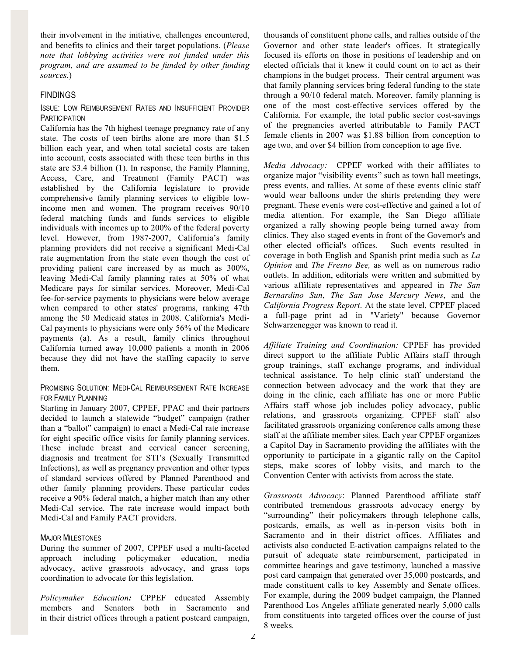their involvement in the initiative, challenges encountered, and benefits to clinics and their target populations. (*Please note that lobbying activities were not funded under this program, and are assumed to be funded by other funding sources*.)

## **FINDINGS**

#### ISSUE: LOW REIMBURSEMENT RATES AND INSUFFICIENT PROVIDER **PARTICIPATION**

California has the 7th highest teenage pregnancy rate of any state. The costs of teen births alone are more than \$1.5 billion each year, and when total societal costs are taken into account, costs associated with these teen births in this state are \$3.4 billion (1). In response, the Family Planning, Access, Care, and Treatment (Family PACT) was established by the California legislature to provide comprehensive family planning services to eligible lowincome men and women. The program receives 90/10 federal matching funds and funds services to eligible individuals with incomes up to 200% of the federal poverty level. However, from 1987-2007, California's family planning providers did not receive a significant Medi-Cal rate augmentation from the state even though the cost of providing patient care increased by as much as 300%, leaving Medi-Cal family planning rates at 50% of what Medicare pays for similar services. Moreover, Medi-Cal fee-for-service payments to physicians were below average when compared to other states' programs, ranking 47th among the 50 Medicaid states in 2008. California's Medi-Cal payments to physicians were only 56% of the Medicare payments (a). As a result, family clinics throughout California turned away 10,000 patients a month in 2006 because they did not have the staffing capacity to serve them.

#### PROMISING SOLUTION: MEDI-CAL REIMBURSEMENT RATE INCREASE FOR FAMILY PLANNING

Starting in January 2007, CPPEF, PPAC and their partners decided to launch a statewide "budget" campaign (rather than a "ballot" campaign) to enact a Medi-Cal rate increase for eight specific office visits for family planning services. These include breast and cervical cancer screening, diagnosis and treatment for STI's (Sexually Transmitted Infections), as well as pregnancy prevention and other types of standard services offered by Planned Parenthood and other family planning providers. These particular codes receive a 90% federal match, a higher match than any other Medi-Cal service. The rate increase would impact both Medi-Cal and Family PACT providers.

#### MAJOR MILESTONES

During the summer of 2007, CPPEF used a multi-faceted approach including policymaker education, media advocacy, active grassroots advocacy, and grass tops coordination to advocate for this legislation.

*Policymaker Education:* CPPEF educated Assembly members and Senators both in Sacramento and in their district offices through a patient postcard campaign, thousands of constituent phone calls, and rallies outside of the Governor and other state leader's offices. It strategically focused its efforts on those in positions of leadership and on elected officials that it knew it could count on to act as their champions in the budget process. Their central argument was that family planning services bring federal funding to the state through a 90/10 federal match. Moreover, family planning is one of the most cost-effective services offered by the California. For example, the total public sector cost-savings of the pregnancies averted attributable to Family PACT female clients in 2007 was \$1.88 billion from conception to age two, and over \$4 billion from conception to age five.

*Media Advocacy:* CPPEF worked with their affiliates to organize major "visibility events" such as town hall meetings, press events, and rallies. At some of these events clinic staff would wear balloons under the shirts pretending they were pregnant. These events were cost-effective and gained a lot of media attention. For example, the San Diego affiliate organized a rally showing people being turned away from clinics. They also staged events in front of the Governor's and other elected official's offices. Such events resulted in coverage in both English and Spanish print media such as *La Opinion* and *The Fresno Bee,* as well as on numerous radio outlets. In addition, editorials were written and submitted by various affiliate representatives and appeared in *The San Bernardino Sun*, *The San Jose Mercury News*, and the *California Progress Report*. At the state level, CPPEF placed a full-page print ad in "Variety" because Governor Schwarzenegger was known to read it.

*Affiliate Training and Coordination:* CPPEF has provided direct support to the affiliate Public Affairs staff through group trainings, staff exchange programs, and individual technical assistance. To help clinic staff understand the connection between advocacy and the work that they are doing in the clinic, each affiliate has one or more Public Affairs staff whose job includes policy advocacy, public relations, and grassroots organizing. CPPEF staff also facilitated grassroots organizing conference calls among these staff at the affiliate member sites. Each year CPPEF organizes a Capitol Day in Sacramento providing the affiliates with the opportunity to participate in a gigantic rally on the Capitol steps, make scores of lobby visits, and march to the Convention Center with activists from across the state.

*Grassroots Advocacy*: Planned Parenthood affiliate staff contributed tremendous grassroots advocacy energy by "surrounding" their policymakers through telephone calls, postcards, emails, as well as in-person visits both in Sacramento and in their district offices. Affiliates and activists also conducted E-activation campaigns related to the pursuit of adequate state reimbursement, participated in committee hearings and gave testimony, launched a massive post card campaign that generated over 35,000 postcards, and made constituent calls to key Assembly and Senate offices. For example, during the 2009 budget campaign, the Planned Parenthood Los Angeles affiliate generated nearly 5,000 calls from constituents into targeted offices over the course of just 8 weeks.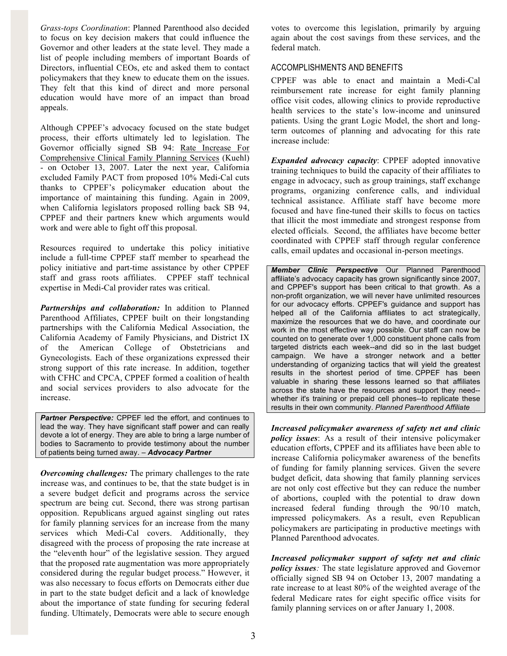*Grass-tops Coordination*: Planned Parenthood also decided to focus on key decision makers that could influence the Governor and other leaders at the state level. They made a list of people including members of important Boards of Directors, influential CEOs, etc and asked them to contact policymakers that they knew to educate them on the issues. They felt that this kind of direct and more personal education would have more of an impact than broad appeals.

Although CPPEF's advocacy focused on the state budget process, their efforts ultimately led to legislation. The Governor officially signed SB 94: Rate Increase For Comprehensive Clinical Family Planning Services (Kuehl) - on October 13, 2007. Later the next year, California excluded Family PACT from proposed 10% Medi-Cal cuts thanks to CPPEF's policymaker education about the importance of maintaining this funding. Again in 2009, when California legislators proposed rolling back SB 94, CPPEF and their partners knew which arguments would work and were able to fight off this proposal.

Resources required to undertake this policy initiative include a full-time CPPEF staff member to spearhead the policy initiative and part-time assistance by other CPPEF staff and grass roots affiliates. CPPEF staff technical expertise in Medi-Cal provider rates was critical.

*Partnerships and collaboration:* In addition to Planned Parenthood Affiliates, CPPEF built on their longstanding partnerships with the California Medical Association, the California Academy of Family Physicians, and District IX of the American College of Obstetricians and Gynecologists. Each of these organizations expressed their strong support of this rate increase. In addition, together with CFHC and CPCA, CPPEF formed a coalition of health and social services providers to also advocate for the increase.

**Partner Perspective:** CPPEF led the effort, and continues to lead the way. They have significant staff power and can really devote a lot of energy. They are able to bring a large number of bodies to Sacramento to provide testimony about the number of patients being turned away. – *Advocacy Partner* 

*Overcoming challenges:* The primary challenges to the rate increase was, and continues to be, that the state budget is in a severe budget deficit and programs across the service spectrum are being cut. Second, there was strong partisan opposition. Republicans argued against singling out rates for family planning services for an increase from the many services which Medi-Cal covers. Additionally, they disagreed with the process of proposing the rate increase at the "eleventh hour" of the legislative session. They argued that the proposed rate augmentation was more appropriately considered during the regular budget process." However, it was also necessary to focus efforts on Democrats either due in part to the state budget deficit and a lack of knowledge about the importance of state funding for securing federal funding. Ultimately, Democrats were able to secure enough votes to overcome this legislation, primarily by arguing again about the cost savings from these services, and the federal match.

# ACCOMPLISHMENTS AND BENEFITS

CPPEF was able to enact and maintain a Medi-Cal reimbursement rate increase for eight family planning office visit codes, allowing clinics to provide reproductive health services to the state's low-income and uninsured patients. Using the grant Logic Model, the short and longterm outcomes of planning and advocating for this rate increase include:

*Expanded advocacy capacity*: CPPEF adopted innovative training techniques to build the capacity of their affiliates to engage in advocacy, such as group trainings, staff exchange programs, organizing conference calls, and individual technical assistance. Affiliate staff have become more focused and have fine-tuned their skills to focus on tactics that illicit the most immediate and strongest response from elected officials. Second, the affiliates have become better coordinated with CPPEF staff through regular conference calls, email updates and occasional in-person meetings.

*Member Clinic Perspective* Our Planned Parenthood affiliate's advocacy capacity has grown significantly since 2007, and CPPEF's support has been critical to that growth. As a non-profit organization, we will never have unlimited resources for our advocacy efforts. CPPEF's guidance and support has helped all of the California affiliates to act strategically, maximize the resources that we do have, and coordinate our work in the most effective way possible. Our staff can now be counted on to generate over 1,000 constituent phone calls from targeted districts each week--and did so in the last budget campaign. We have a stronger network and a better understanding of organizing tactics that will yield the greatest results in the shortest period of time. CPPEF has been valuable in sharing these lessons learned so that affiliates across the state have the resources and support they need- whether it's training or prepaid cell phones--to replicate these results in their own community. *Planned Parenthood Affiliate* 

*Increased policymaker awareness of safety net and clinic policy issues*: As a result of their intensive policymaker education efforts, CPPEF and its affiliates have been able to increase California policymaker awareness of the benefits of funding for family planning services. Given the severe budget deficit, data showing that family planning services are not only cost effective but they can reduce the number of abortions, coupled with the potential to draw down increased federal funding through the 90/10 match, impressed policymakers. As a result, even Republican policymakers are participating in productive meetings with Planned Parenthood advocates.

*Increased policymaker support of safety net and clinic policy issues:* The state legislature approved and Governor officially signed SB 94 on October 13, 2007 mandating a rate increase to at least 80% of the weighted average of the federal Medicare rates for eight specific office visits for family planning services on or after January 1, 2008.